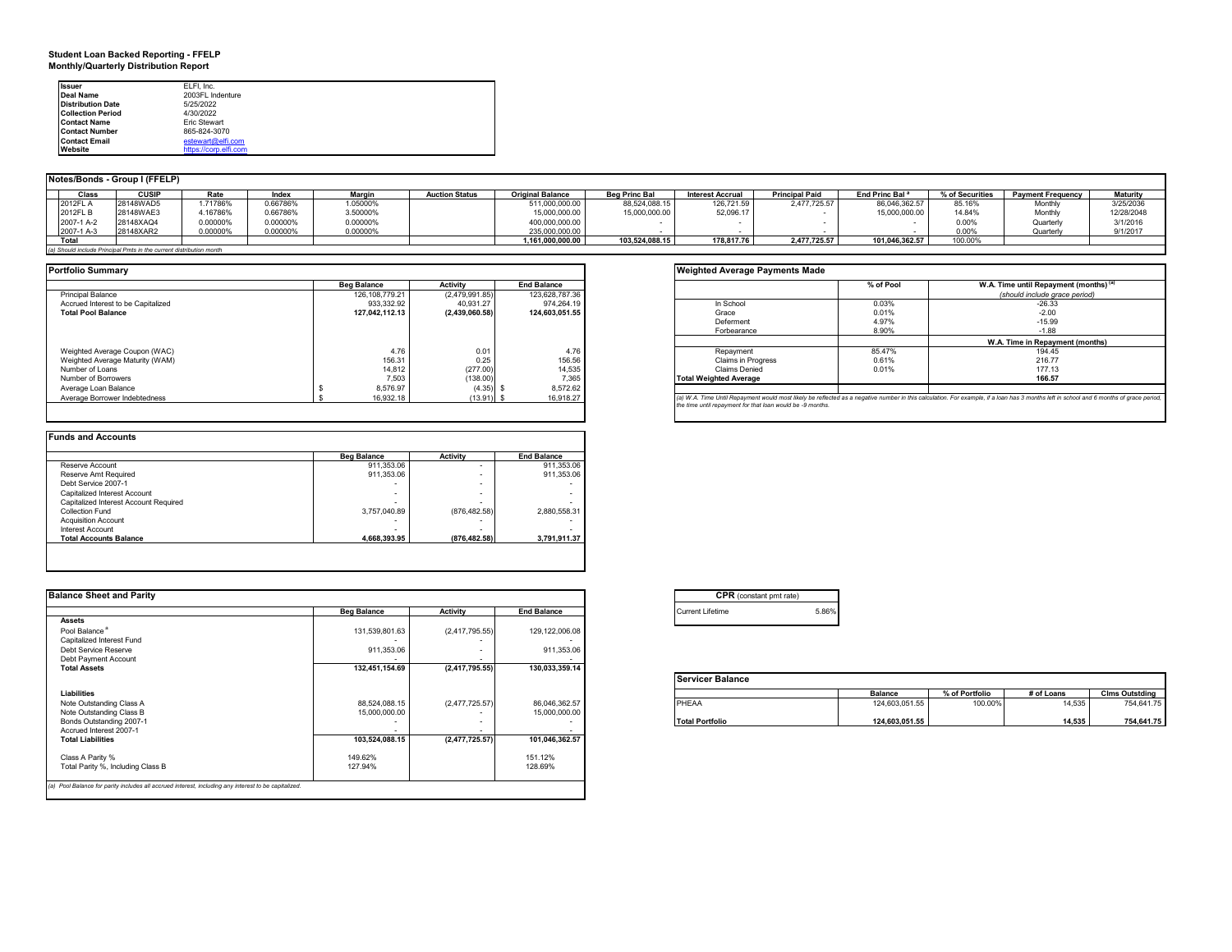# **Student Loan Backed Reporting - FFELP Monthly/Quarterly Distribution Report**

| <b>Issuer</b>            | ELFI, Inc.            |  |
|--------------------------|-----------------------|--|
| <b>Deal Name</b>         | 2003FL Indenture      |  |
| <b>Distribution Date</b> | 5/25/2022             |  |
| <b>Collection Period</b> | 4/30/2022             |  |
| <b>Contact Name</b>      | Eric Stewart          |  |
| <b>Contact Number</b>    | 865-824-3070          |  |
| <b>Contact Email</b>     | estewart@elfi.com     |  |
| Website                  | https://corp.elfi.com |  |

### **Notes/Bonds - Group I (FFELP)**

| Class           | <b>CUSIF</b>                                                        | Rate     |          | Marg     | <b>Auction Status</b> | <b>Original Balance</b> | <b>Beg Princ Bal</b> | <b>Interest Accrual</b> | <b>Principal Paid</b> | End Princ Bal <sup>a</sup> | % of Securities | <b>Payment Frequency</b> | Maturity   |
|-----------------|---------------------------------------------------------------------|----------|----------|----------|-----------------------|-------------------------|----------------------|-------------------------|-----------------------|----------------------------|-----------------|--------------------------|------------|
| 2012FL A        | 28148WAD5                                                           | .71786%  | 0.66786% | .05000%  |                       | 511,000,000.00          | 88,524,088.15        | 126,721.59              | 2.477.725.57          | 86,046,362.57              | 85.16%          | Monthly                  | 3/25/2036  |
| 2012FL B        | 28148WAE3                                                           | .167869  | 0.66786% | 3.50000% |                       | 15,000,000.00           | 15,000,000.00        | 52,096.17               |                       | 15,000,000.00              | 14.84%          | Monthly                  | 12/28/2048 |
| 2007-1 A-2      | 28148XAQ4                                                           | 0.00000% | 0.00000% | 0.00000% |                       | 400,000,000.00          |                      |                         |                       |                            | 0.00%           | Quarter                  | 3/1/2016   |
| 2007-1<br>1 A-3 | 28148XAR2                                                           | 00000%   | 0.00000% | 0.00000% |                       | 235,000,000.00          |                      |                         |                       |                            | 0.00%           | Quarterly                | 9/1/2017   |
| Tota            |                                                                     |          |          |          |                       | 1.161.000.000.00        | 103,524,088.15       | 178.817.76              | 2.477.725.57          | 101.046.362.57             | 100.00%         |                          |            |
|                 | (a) Should include Principal Pmts in the current distribution month |          |          |          |                       |                         |                      |                         |                       |                            |                 |                          |            |

| <b>Portfolio Summary</b>           |                    |                 |                    | <b>Weighted Average Payments Made</b>                                                                                                                                                                        |           |                        |
|------------------------------------|--------------------|-----------------|--------------------|--------------------------------------------------------------------------------------------------------------------------------------------------------------------------------------------------------------|-----------|------------------------|
|                                    | <b>Beg Balance</b> | <b>Activity</b> | <b>End Balance</b> |                                                                                                                                                                                                              | % of Pool | W.A. Time until Repayı |
| <b>Principal Balance</b>           | 126.108.779.21     | (2,479,991.85)  | 123,628,787.36     |                                                                                                                                                                                                              |           | (should include gr     |
| Accrued Interest to be Capitalized | 933.332.92         | 40.931.27       | 974.264.19         | In School                                                                                                                                                                                                    | 0.03%     | $-26.33$               |
| <b>Total Pool Balance</b>          | 127.042.112.13     | (2,439,060.58)  | 124.603.051.55     | Grace                                                                                                                                                                                                        | 0.01%     | $-2.00$                |
|                                    |                    |                 |                    | Deferment                                                                                                                                                                                                    | 4.97%     | $-15.99$               |
|                                    |                    |                 |                    | Forbearance                                                                                                                                                                                                  | 8.90%     | $-1.88$                |
|                                    |                    |                 |                    |                                                                                                                                                                                                              |           | W.A. Time in Repayı    |
| Weighted Average Coupon (WAC)      | 4.76               | 0.01            | 4.76               | Repayment                                                                                                                                                                                                    | 85.47%    | 194.45                 |
| Weighted Average Maturity (WAM)    | 156.31             | 0.25            | 156.56             | <b>Claims in Progress</b>                                                                                                                                                                                    | 0.61%     | 216.77                 |
| Number of Loans                    | 14,812             | (277.00)        | 14,535             | Claims Denied                                                                                                                                                                                                | 0.01%     | 177.13                 |
| Number of Borrowers                | 7,503              | (138.00)        | 7,365              | <b>Total Weighted Average</b>                                                                                                                                                                                |           | 166.57                 |
| Average Loan Balance               | 8.576.97           | (4.35)          | 8,572.62           |                                                                                                                                                                                                              |           |                        |
| Average Borrower Indebtedness      | 16.932.18          | $(13.91)$ \$    | 16.918.27          | (a) W.A. Time Until Repayment would most likely be reflected as a negative number in this calculation. For example, if a loan has 3 months left<br>the time until renorment for that loon would be -0 months |           |                        |

|                                       | <b>Beg Balance</b> | <b>Activity</b> | <b>End Balance</b> |
|---------------------------------------|--------------------|-----------------|--------------------|
| Reserve Account                       | 911,353.06         |                 | 911,353.06         |
| Reserve Amt Required                  | 911.353.06         |                 | 911.353.06         |
| Debt Service 2007-1                   |                    |                 |                    |
| Capitalized Interest Account          |                    |                 |                    |
| Capitalized Interest Account Required |                    |                 |                    |
| Collection Fund                       | 3.757.040.89       | (876, 482.58)   | 2.880.558.31       |
| <b>Acquisition Account</b>            |                    |                 |                    |
| Interest Account                      |                    |                 | $\sim$             |
| <b>Total Accounts Balance</b>         | 4.668.393.95       | (876.482.58)    | 3.791.911.37       |

| <b>Balance Sheet and Parity</b>                                                                      |                    |                          |                    | <b>CPR</b> (constant pmt rate) |       |                |                |            |                       |
|------------------------------------------------------------------------------------------------------|--------------------|--------------------------|--------------------|--------------------------------|-------|----------------|----------------|------------|-----------------------|
|                                                                                                      | <b>Beg Balance</b> | Activity                 | <b>End Balance</b> | <b>Current Lifetime</b>        | 5.86% |                |                |            |                       |
| <b>Assets</b>                                                                                        |                    |                          |                    |                                |       |                |                |            |                       |
| Pool Balance <sup>a</sup>                                                                            | 131,539,801.63     | (2,417,795.55)           | 129,122,006.08     |                                |       |                |                |            |                       |
| Capitalized Interest Fund                                                                            |                    |                          |                    |                                |       |                |                |            |                       |
| Debt Service Reserve                                                                                 | 911,353.06         | $\overline{\phantom{a}}$ | 911,353.06         |                                |       |                |                |            |                       |
| Debt Payment Account                                                                                 |                    | $\overline{\phantom{a}}$ |                    |                                |       |                |                |            |                       |
| <b>Total Assets</b>                                                                                  | 132,451,154.69     | (2,417,795.55)           | 130,033,359.14     |                                |       |                |                |            |                       |
|                                                                                                      |                    |                          |                    | <b>Servicer Balance</b>        |       |                |                |            |                       |
| Liabilities                                                                                          |                    |                          |                    |                                |       | <b>Balance</b> | % of Portfolio | # of Loans | <b>Clms Outstding</b> |
| Note Outstanding Class A                                                                             | 88,524,088.15      | (2,477,725.57)           | 86,046,362.57      | PHEAA                          |       | 124,603,051.55 | 100.00%        | 14,535     | 754,641.75            |
| Note Outstanding Class B                                                                             | 15,000,000.00      |                          | 15,000,000.00      |                                |       |                |                |            |                       |
| Bonds Outstanding 2007-1                                                                             |                    |                          |                    | <b>Total Portfolio</b>         |       | 124,603,051.55 |                | 14,535     | 754,641.75            |
| Accrued Interest 2007-1                                                                              |                    | $\sim$                   |                    |                                |       |                |                |            |                       |
| <b>Total Liabilities</b>                                                                             | 103,524,088.15     | (2,477,725.57)           | 101,046,362.57     |                                |       |                |                |            |                       |
| Class A Parity %                                                                                     | 149.62%            |                          | 151.12%            |                                |       |                |                |            |                       |
| Total Parity %, Including Class B                                                                    | 127.94%            |                          | 128.69%            |                                |       |                |                |            |                       |
|                                                                                                      |                    |                          |                    |                                |       |                |                |            |                       |
| (a) Pool Balance for parity includes all accrued interest, including any interest to be capitalized. |                    |                          |                    |                                |       |                |                |            |                       |

| % of Pool | W.A. Time until Repayment (months) <sup>(a)</sup> |
|-----------|---------------------------------------------------|
|           | (should include arace period)                     |
| 0.03%     | $-26.33$                                          |
| 0.01%     | $-2.00$                                           |
| 4.97%     | $-15.99$                                          |
| 8.90%     | $-1.88$                                           |
|           | W.A. Time in Repayment (months)                   |
| 85.47%    | 194.45                                            |
| 0.61%     | 216.77                                            |
| 0.01%     | 177.13                                            |
|           | 166.57                                            |
|           |                                                   |

| <b>CPR</b> (constant pmt rate) |       |
|--------------------------------|-------|
| <b>Current Lifetime</b>        | 5.86% |
|                                |       |

| <b>Servicer Balance</b> |                |                |            |                       |
|-------------------------|----------------|----------------|------------|-----------------------|
|                         | <b>Balance</b> | % of Portfolio | # of Loans | <b>Cims Outstding</b> |
| PHFAA                   | 124.603.051.55 | 100.00%        | 14.535     | 754.641.75            |
| <b>Total Portfolio</b>  | 124.603.051.55 |                | 14.535     | 754.641.75            |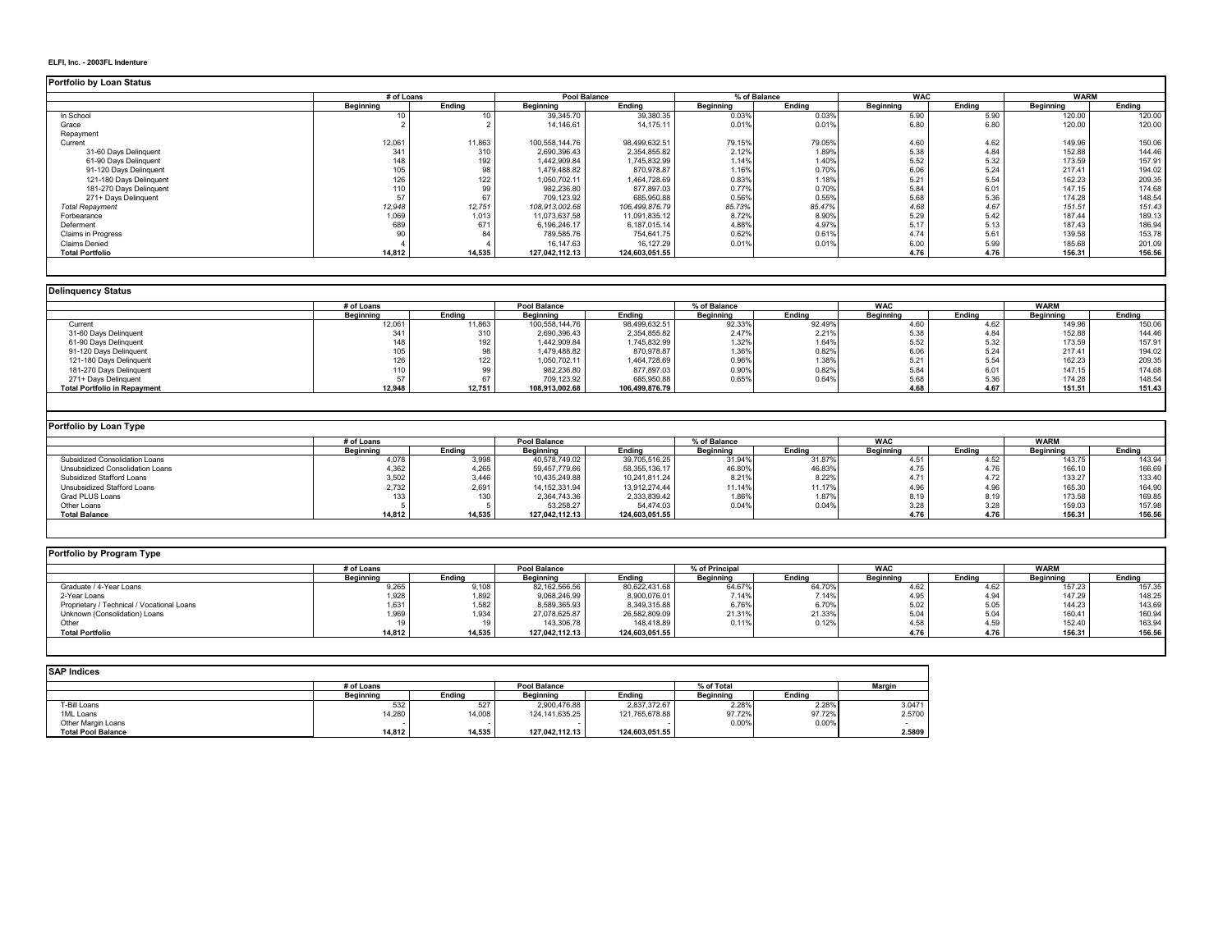### **ELFI, Inc. - 2003FL Indenture**

| % of Balance<br><b>WARM</b><br># of Loans<br>Pool Balance<br><b>WAC</b><br>Ending<br>Ending<br>Beginning<br>Ending<br><b>Beginning</b><br>Ending<br><b>Beginning</b><br><b>Beginning</b><br>Ending<br><b>Beginning</b><br>39,345.70<br>0.03%<br>5.90<br>5.90<br>120.00<br>In School<br>10<br>10<br>39,380.35<br>0.03%<br>120.00<br>6.80<br>120.00<br>120.00<br>14,175.11<br>0.01%<br>0.01%<br>6.80<br>Grace<br>$\overline{2}$<br>14.146.61<br>Repayment<br>12,061<br>11,863<br>100,558,144.76<br>98,499,632.51<br>79.15%<br>79.05%<br>4.60<br>4.62<br>149.96<br>150.06<br>Current<br>2,354,855.82<br>2.12%<br>1.89%<br>152.88<br>144.46<br>341<br>310<br>2,690,396.43<br>5.38<br>4.84<br>31-60 Days Delinquent<br>5.32<br>157.91<br>148<br>192<br>1,442,909.84<br>1,745,832.99<br>1.40%<br>5.52<br>173.59<br>61-90 Days Delinquent<br>1.14%<br>105<br>98<br>5.24<br>217.41<br>194.02<br>1.479.488.82<br>870.978.87<br>1.16%<br>0.70%<br>6.06<br>91-120 Days Delinquent<br>126<br>209.35<br>122<br>0.83%<br>5.21<br>5.54<br>162.23<br>121-180 Days Delinquent<br>1,050,702.11<br>1,464,728.69<br>1.18%<br>99<br>0.77%<br>6.01<br>174.68<br>110<br>982,236.80<br>877.897.03<br>0.70%<br>5.84<br>147.15<br>181-270 Days Delinquent<br>67<br>0.56%<br>174.28<br>148.54<br>271+ Days Delinquent<br>57<br>709,123.92<br>685,950.88<br>0.55%<br>5.68<br>5.36<br>12,948<br>85.73%<br>85.47%<br>4.68<br>4.67<br>151.51<br>151.43<br><b>Total Repayment</b><br>12,751<br>108,913,002.68<br>106,499,876.79<br>189.13<br>1,069<br>8.72%<br>8.90%<br>5.29<br>5.42<br>187.44<br>Forbearance<br>1,013<br>11,073,637.58<br>11,091,835.12<br>689<br>186.94<br>671<br>6,187,015.14<br>4.88%<br>4.97%<br>5.17<br>5.13<br>187.43<br>Deferment<br>6,196,246.17<br>90<br>84<br>789.585.76<br>0.62%<br>0.61%<br>4.74<br>5.61<br>139.58<br>153.78<br>Claims in Progress<br>754,641.75<br>16.147.63<br>16,127.29<br>0.01%<br>0.01%<br>6.00<br>5.99<br>185.68<br>201.09<br><b>Claims Denied</b><br>14,812<br>14.535<br>127,042,112.13<br>124,603,051.55<br>4.76<br>4.76<br>156.31<br>156.56<br><b>Total Portfolio</b><br><b>Pool Balance</b><br>% of Balance<br><b>WAC</b><br><b>WARM</b><br># of Loans<br>Endina<br>Endina<br>Endina<br>Endina<br>Endina<br><b>Beginning</b><br><b>Beginning</b><br><b>Beginning</b><br><b>Beginning</b><br><b>Beginning</b><br>92.49%<br>Current<br>12,061<br>11,863<br>100,558,144.76<br>98,499,632.51<br>92.339<br>4.60<br>4.62<br>149.96<br>150.06<br>341<br>2.47%<br>5.38<br>4.84<br>152.88<br>144.46<br>31-60 Days Delinquent<br>310<br>2.690.396.43<br>2,354,855.82<br>2.21%<br>148<br>192<br>1,745,832.99<br>5.52<br>5.32<br>173.59<br>157.91<br>61-90 Days Delinquent<br>1.442.909.84<br>1.32%<br>1.64%<br>194.02<br>105<br>98<br>1,479,488.82<br>870,978.87<br>1.36%<br>0.82%<br>6.06<br>5.24<br>217.41<br>91-120 Days Delinquent<br>126<br>122<br>0.96%<br>209.35<br>121-180 Days Delinquent<br>1,050,702.11<br>1,464,728.69<br>1.38%<br>5.21<br>5.54<br>162.23<br>99<br>0.90%<br>0.82%<br>6.01<br>147.15<br>174.68<br>181-270 Days Delinquent<br>110<br>982,236.80<br>877,897.03<br>5.84<br>148.54<br>67<br>0.65%<br>0.64%<br>174.28<br>271+ Days Delinquent<br>57<br>709,123.92<br>685,950.88<br>5.68<br>5.36<br>4.67<br><b>Total Portfolio in Repayment</b><br>12.948<br>12.751<br>108.913.002.68<br>106.499.876.79<br>4.68<br>151.51<br>151.43<br>Portfolio by Loan Type<br>Pool Balance<br>% of Balance<br><b>WAC</b><br><b>WARM</b><br># of Loans<br>Ending<br><b>Beginning</b><br>Endina<br><b>Beginning</b><br>Endina<br><b>Beginning</b><br>Endina<br><b>Beginning</b><br>Endina<br><b>Beginning</b><br>4.52<br>143.94<br>4,078<br>3,998<br>39,705,516.25<br>31.87%<br>4.51<br>143.75<br>Subsidized Consolidation Loans<br>40,578,749.02<br>31.94%<br>4,362<br>4.265<br>46.80%<br>46.83%<br>4.75<br>4.76<br>166.10<br>166.69<br>Unsubsidized Consolidation Loans<br>59.457.779.66<br>58.355.136.17<br>3,502<br>3.446<br>10.435.249.88<br>8.21%<br>8.22%<br>4.71<br>4.72<br>133.27<br>133.40<br>Subsidized Stafford Loans<br>10.241.811.24<br>2,732<br>2,691<br>14, 152, 331.94<br>4.96<br>4.96<br>165.30<br>164.90<br>Unsubsidized Stafford Loans<br>13,912,274.44<br>11.14%<br>11.17%<br>169.85<br>Grad PLUS Loans<br>133<br>130<br>2,333,839.42<br>1.86%<br>1.87%<br>8.19<br>8.19<br>173.58<br>2,364,743.36<br>157.98<br>53,258.27<br>54,474.03<br>0.04%<br>0.04%<br>3.28<br>3.28<br>159.03<br>Other Loans<br>14.535<br>4.76<br>4.76<br>156.56<br>14.812<br>127.042.112.13<br>124.603.051.55<br>156.31<br><b>Total Balance</b><br>Portfolio by Program Type<br>% of Principal<br><b>WAC</b><br><b>WARM</b><br># of Loans<br>Pool Balance<br>Endina<br>Ending<br><b>Beginning</b><br>Endina<br><b>Beginning</b><br>Endina<br><b>Beginning</b><br>Beginning<br>Ending<br><b>Beginning</b><br>157.35<br>Graduate / 4-Year Loans<br>80.622.431.68<br>64.67%<br>157.23<br>9,265<br>9,108<br>82, 162, 566.56<br>64.70%<br>4.62<br>4.62<br>1,928<br>1,892<br>4.95<br>147.29<br>148.25<br>9,068,246.99<br>8,900,076.01<br>7.14%<br>4.94<br>2-Year Loans<br>7.14%<br>1,631<br>1.582<br>144.23<br>143.69<br>8,589,365.93<br>6.76%<br>6.70%<br>5.02<br>5.05<br>8,349,315.88<br>Proprietary / Technical / Vocational Loans<br>160.94<br>1,969<br>1,934<br>27,078,625.87<br>26,582,809.09<br>21.31%<br>21.33%<br>5.04<br>5.04<br>160.41<br>Unknown (Consolidation) Loans<br>148,418.89<br>4.58<br>4.59<br>152.40<br>163.94<br>19<br>19<br>143,306.78<br>0.11%<br>0.12%<br>Other<br>14.812<br>14.535<br>127,042,112.13<br>124,603,051.55<br>4.76<br>4.76<br>156.31<br>156.56<br><b>Total Portfolio</b> | Portfolio by Loan Status  |  |  |  |  |  |
|-----------------------------------------------------------------------------------------------------------------------------------------------------------------------------------------------------------------------------------------------------------------------------------------------------------------------------------------------------------------------------------------------------------------------------------------------------------------------------------------------------------------------------------------------------------------------------------------------------------------------------------------------------------------------------------------------------------------------------------------------------------------------------------------------------------------------------------------------------------------------------------------------------------------------------------------------------------------------------------------------------------------------------------------------------------------------------------------------------------------------------------------------------------------------------------------------------------------------------------------------------------------------------------------------------------------------------------------------------------------------------------------------------------------------------------------------------------------------------------------------------------------------------------------------------------------------------------------------------------------------------------------------------------------------------------------------------------------------------------------------------------------------------------------------------------------------------------------------------------------------------------------------------------------------------------------------------------------------------------------------------------------------------------------------------------------------------------------------------------------------------------------------------------------------------------------------------------------------------------------------------------------------------------------------------------------------------------------------------------------------------------------------------------------------------------------------------------------------------------------------------------------------------------------------------------------------------------------------------------------------------------------------------------------------------------------------------------------------------------------------------------------------------------------------------------------------------------------------------------------------------------------------------------------------------------------------------------------------------------------------------------------------------------------------------------------------------------------------------------------------------------------------------------------------------------------------------------------------------------------------------------------------------------------------------------------------------------------------------------------------------------------------------------------------------------------------------------------------------------------------------------------------------------------------------------------------------------------------------------------------------------------------------------------------------------------------------------------------------------------------------------------------------------------------------------------------------------------------------------------------------------------------------------------------------------------------------------------------------------------------------------------------------------------------------------------------------------------------------------------------------------------------------------------------------------------------------------------------------------------------------------------------------------------------------------------------------------------------------------------------------------------------------------------------------------------------------------------------------------------------------------------------------------------------------------------------------------------------------------------------------------------------------------------------------------------------------------------------------------------------------------------------------------------------------------------------------------------------------------------------------------------------------------------------------------------------------------------------------------------------------------------------------------------------------------------------------------------------------------------------------------------------------------------------------------------------------------------------------------------------------------------------------------------------------------------------------------------------------------------------------------------------------------------------------------------------------------------------------------------------------------------------------------------------------------------------------------------------------------------------|---------------------------|--|--|--|--|--|
|                                                                                                                                                                                                                                                                                                                                                                                                                                                                                                                                                                                                                                                                                                                                                                                                                                                                                                                                                                                                                                                                                                                                                                                                                                                                                                                                                                                                                                                                                                                                                                                                                                                                                                                                                                                                                                                                                                                                                                                                                                                                                                                                                                                                                                                                                                                                                                                                                                                                                                                                                                                                                                                                                                                                                                                                                                                                                                                                                                                                                                                                                                                                                                                                                                                                                                                                                                                                                                                                                                                                                                                                                                                                                                                                                                                                                                                                                                                                                                                                                                                                                                                                                                                                                                                                                                                                                                                                                                                                                                                                                                                                                                                                                                                                                                                                                                                                                                                                                                                                                                                                                                                                                                                                                                                                                                                                                                                                                                                                                                                                                                                                                       |                           |  |  |  |  |  |
|                                                                                                                                                                                                                                                                                                                                                                                                                                                                                                                                                                                                                                                                                                                                                                                                                                                                                                                                                                                                                                                                                                                                                                                                                                                                                                                                                                                                                                                                                                                                                                                                                                                                                                                                                                                                                                                                                                                                                                                                                                                                                                                                                                                                                                                                                                                                                                                                                                                                                                                                                                                                                                                                                                                                                                                                                                                                                                                                                                                                                                                                                                                                                                                                                                                                                                                                                                                                                                                                                                                                                                                                                                                                                                                                                                                                                                                                                                                                                                                                                                                                                                                                                                                                                                                                                                                                                                                                                                                                                                                                                                                                                                                                                                                                                                                                                                                                                                                                                                                                                                                                                                                                                                                                                                                                                                                                                                                                                                                                                                                                                                                                                       |                           |  |  |  |  |  |
|                                                                                                                                                                                                                                                                                                                                                                                                                                                                                                                                                                                                                                                                                                                                                                                                                                                                                                                                                                                                                                                                                                                                                                                                                                                                                                                                                                                                                                                                                                                                                                                                                                                                                                                                                                                                                                                                                                                                                                                                                                                                                                                                                                                                                                                                                                                                                                                                                                                                                                                                                                                                                                                                                                                                                                                                                                                                                                                                                                                                                                                                                                                                                                                                                                                                                                                                                                                                                                                                                                                                                                                                                                                                                                                                                                                                                                                                                                                                                                                                                                                                                                                                                                                                                                                                                                                                                                                                                                                                                                                                                                                                                                                                                                                                                                                                                                                                                                                                                                                                                                                                                                                                                                                                                                                                                                                                                                                                                                                                                                                                                                                                                       |                           |  |  |  |  |  |
|                                                                                                                                                                                                                                                                                                                                                                                                                                                                                                                                                                                                                                                                                                                                                                                                                                                                                                                                                                                                                                                                                                                                                                                                                                                                                                                                                                                                                                                                                                                                                                                                                                                                                                                                                                                                                                                                                                                                                                                                                                                                                                                                                                                                                                                                                                                                                                                                                                                                                                                                                                                                                                                                                                                                                                                                                                                                                                                                                                                                                                                                                                                                                                                                                                                                                                                                                                                                                                                                                                                                                                                                                                                                                                                                                                                                                                                                                                                                                                                                                                                                                                                                                                                                                                                                                                                                                                                                                                                                                                                                                                                                                                                                                                                                                                                                                                                                                                                                                                                                                                                                                                                                                                                                                                                                                                                                                                                                                                                                                                                                                                                                                       |                           |  |  |  |  |  |
|                                                                                                                                                                                                                                                                                                                                                                                                                                                                                                                                                                                                                                                                                                                                                                                                                                                                                                                                                                                                                                                                                                                                                                                                                                                                                                                                                                                                                                                                                                                                                                                                                                                                                                                                                                                                                                                                                                                                                                                                                                                                                                                                                                                                                                                                                                                                                                                                                                                                                                                                                                                                                                                                                                                                                                                                                                                                                                                                                                                                                                                                                                                                                                                                                                                                                                                                                                                                                                                                                                                                                                                                                                                                                                                                                                                                                                                                                                                                                                                                                                                                                                                                                                                                                                                                                                                                                                                                                                                                                                                                                                                                                                                                                                                                                                                                                                                                                                                                                                                                                                                                                                                                                                                                                                                                                                                                                                                                                                                                                                                                                                                                                       |                           |  |  |  |  |  |
|                                                                                                                                                                                                                                                                                                                                                                                                                                                                                                                                                                                                                                                                                                                                                                                                                                                                                                                                                                                                                                                                                                                                                                                                                                                                                                                                                                                                                                                                                                                                                                                                                                                                                                                                                                                                                                                                                                                                                                                                                                                                                                                                                                                                                                                                                                                                                                                                                                                                                                                                                                                                                                                                                                                                                                                                                                                                                                                                                                                                                                                                                                                                                                                                                                                                                                                                                                                                                                                                                                                                                                                                                                                                                                                                                                                                                                                                                                                                                                                                                                                                                                                                                                                                                                                                                                                                                                                                                                                                                                                                                                                                                                                                                                                                                                                                                                                                                                                                                                                                                                                                                                                                                                                                                                                                                                                                                                                                                                                                                                                                                                                                                       |                           |  |  |  |  |  |
|                                                                                                                                                                                                                                                                                                                                                                                                                                                                                                                                                                                                                                                                                                                                                                                                                                                                                                                                                                                                                                                                                                                                                                                                                                                                                                                                                                                                                                                                                                                                                                                                                                                                                                                                                                                                                                                                                                                                                                                                                                                                                                                                                                                                                                                                                                                                                                                                                                                                                                                                                                                                                                                                                                                                                                                                                                                                                                                                                                                                                                                                                                                                                                                                                                                                                                                                                                                                                                                                                                                                                                                                                                                                                                                                                                                                                                                                                                                                                                                                                                                                                                                                                                                                                                                                                                                                                                                                                                                                                                                                                                                                                                                                                                                                                                                                                                                                                                                                                                                                                                                                                                                                                                                                                                                                                                                                                                                                                                                                                                                                                                                                                       |                           |  |  |  |  |  |
|                                                                                                                                                                                                                                                                                                                                                                                                                                                                                                                                                                                                                                                                                                                                                                                                                                                                                                                                                                                                                                                                                                                                                                                                                                                                                                                                                                                                                                                                                                                                                                                                                                                                                                                                                                                                                                                                                                                                                                                                                                                                                                                                                                                                                                                                                                                                                                                                                                                                                                                                                                                                                                                                                                                                                                                                                                                                                                                                                                                                                                                                                                                                                                                                                                                                                                                                                                                                                                                                                                                                                                                                                                                                                                                                                                                                                                                                                                                                                                                                                                                                                                                                                                                                                                                                                                                                                                                                                                                                                                                                                                                                                                                                                                                                                                                                                                                                                                                                                                                                                                                                                                                                                                                                                                                                                                                                                                                                                                                                                                                                                                                                                       |                           |  |  |  |  |  |
|                                                                                                                                                                                                                                                                                                                                                                                                                                                                                                                                                                                                                                                                                                                                                                                                                                                                                                                                                                                                                                                                                                                                                                                                                                                                                                                                                                                                                                                                                                                                                                                                                                                                                                                                                                                                                                                                                                                                                                                                                                                                                                                                                                                                                                                                                                                                                                                                                                                                                                                                                                                                                                                                                                                                                                                                                                                                                                                                                                                                                                                                                                                                                                                                                                                                                                                                                                                                                                                                                                                                                                                                                                                                                                                                                                                                                                                                                                                                                                                                                                                                                                                                                                                                                                                                                                                                                                                                                                                                                                                                                                                                                                                                                                                                                                                                                                                                                                                                                                                                                                                                                                                                                                                                                                                                                                                                                                                                                                                                                                                                                                                                                       |                           |  |  |  |  |  |
|                                                                                                                                                                                                                                                                                                                                                                                                                                                                                                                                                                                                                                                                                                                                                                                                                                                                                                                                                                                                                                                                                                                                                                                                                                                                                                                                                                                                                                                                                                                                                                                                                                                                                                                                                                                                                                                                                                                                                                                                                                                                                                                                                                                                                                                                                                                                                                                                                                                                                                                                                                                                                                                                                                                                                                                                                                                                                                                                                                                                                                                                                                                                                                                                                                                                                                                                                                                                                                                                                                                                                                                                                                                                                                                                                                                                                                                                                                                                                                                                                                                                                                                                                                                                                                                                                                                                                                                                                                                                                                                                                                                                                                                                                                                                                                                                                                                                                                                                                                                                                                                                                                                                                                                                                                                                                                                                                                                                                                                                                                                                                                                                                       |                           |  |  |  |  |  |
|                                                                                                                                                                                                                                                                                                                                                                                                                                                                                                                                                                                                                                                                                                                                                                                                                                                                                                                                                                                                                                                                                                                                                                                                                                                                                                                                                                                                                                                                                                                                                                                                                                                                                                                                                                                                                                                                                                                                                                                                                                                                                                                                                                                                                                                                                                                                                                                                                                                                                                                                                                                                                                                                                                                                                                                                                                                                                                                                                                                                                                                                                                                                                                                                                                                                                                                                                                                                                                                                                                                                                                                                                                                                                                                                                                                                                                                                                                                                                                                                                                                                                                                                                                                                                                                                                                                                                                                                                                                                                                                                                                                                                                                                                                                                                                                                                                                                                                                                                                                                                                                                                                                                                                                                                                                                                                                                                                                                                                                                                                                                                                                                                       |                           |  |  |  |  |  |
|                                                                                                                                                                                                                                                                                                                                                                                                                                                                                                                                                                                                                                                                                                                                                                                                                                                                                                                                                                                                                                                                                                                                                                                                                                                                                                                                                                                                                                                                                                                                                                                                                                                                                                                                                                                                                                                                                                                                                                                                                                                                                                                                                                                                                                                                                                                                                                                                                                                                                                                                                                                                                                                                                                                                                                                                                                                                                                                                                                                                                                                                                                                                                                                                                                                                                                                                                                                                                                                                                                                                                                                                                                                                                                                                                                                                                                                                                                                                                                                                                                                                                                                                                                                                                                                                                                                                                                                                                                                                                                                                                                                                                                                                                                                                                                                                                                                                                                                                                                                                                                                                                                                                                                                                                                                                                                                                                                                                                                                                                                                                                                                                                       |                           |  |  |  |  |  |
|                                                                                                                                                                                                                                                                                                                                                                                                                                                                                                                                                                                                                                                                                                                                                                                                                                                                                                                                                                                                                                                                                                                                                                                                                                                                                                                                                                                                                                                                                                                                                                                                                                                                                                                                                                                                                                                                                                                                                                                                                                                                                                                                                                                                                                                                                                                                                                                                                                                                                                                                                                                                                                                                                                                                                                                                                                                                                                                                                                                                                                                                                                                                                                                                                                                                                                                                                                                                                                                                                                                                                                                                                                                                                                                                                                                                                                                                                                                                                                                                                                                                                                                                                                                                                                                                                                                                                                                                                                                                                                                                                                                                                                                                                                                                                                                                                                                                                                                                                                                                                                                                                                                                                                                                                                                                                                                                                                                                                                                                                                                                                                                                                       |                           |  |  |  |  |  |
|                                                                                                                                                                                                                                                                                                                                                                                                                                                                                                                                                                                                                                                                                                                                                                                                                                                                                                                                                                                                                                                                                                                                                                                                                                                                                                                                                                                                                                                                                                                                                                                                                                                                                                                                                                                                                                                                                                                                                                                                                                                                                                                                                                                                                                                                                                                                                                                                                                                                                                                                                                                                                                                                                                                                                                                                                                                                                                                                                                                                                                                                                                                                                                                                                                                                                                                                                                                                                                                                                                                                                                                                                                                                                                                                                                                                                                                                                                                                                                                                                                                                                                                                                                                                                                                                                                                                                                                                                                                                                                                                                                                                                                                                                                                                                                                                                                                                                                                                                                                                                                                                                                                                                                                                                                                                                                                                                                                                                                                                                                                                                                                                                       |                           |  |  |  |  |  |
|                                                                                                                                                                                                                                                                                                                                                                                                                                                                                                                                                                                                                                                                                                                                                                                                                                                                                                                                                                                                                                                                                                                                                                                                                                                                                                                                                                                                                                                                                                                                                                                                                                                                                                                                                                                                                                                                                                                                                                                                                                                                                                                                                                                                                                                                                                                                                                                                                                                                                                                                                                                                                                                                                                                                                                                                                                                                                                                                                                                                                                                                                                                                                                                                                                                                                                                                                                                                                                                                                                                                                                                                                                                                                                                                                                                                                                                                                                                                                                                                                                                                                                                                                                                                                                                                                                                                                                                                                                                                                                                                                                                                                                                                                                                                                                                                                                                                                                                                                                                                                                                                                                                                                                                                                                                                                                                                                                                                                                                                                                                                                                                                                       |                           |  |  |  |  |  |
|                                                                                                                                                                                                                                                                                                                                                                                                                                                                                                                                                                                                                                                                                                                                                                                                                                                                                                                                                                                                                                                                                                                                                                                                                                                                                                                                                                                                                                                                                                                                                                                                                                                                                                                                                                                                                                                                                                                                                                                                                                                                                                                                                                                                                                                                                                                                                                                                                                                                                                                                                                                                                                                                                                                                                                                                                                                                                                                                                                                                                                                                                                                                                                                                                                                                                                                                                                                                                                                                                                                                                                                                                                                                                                                                                                                                                                                                                                                                                                                                                                                                                                                                                                                                                                                                                                                                                                                                                                                                                                                                                                                                                                                                                                                                                                                                                                                                                                                                                                                                                                                                                                                                                                                                                                                                                                                                                                                                                                                                                                                                                                                                                       |                           |  |  |  |  |  |
|                                                                                                                                                                                                                                                                                                                                                                                                                                                                                                                                                                                                                                                                                                                                                                                                                                                                                                                                                                                                                                                                                                                                                                                                                                                                                                                                                                                                                                                                                                                                                                                                                                                                                                                                                                                                                                                                                                                                                                                                                                                                                                                                                                                                                                                                                                                                                                                                                                                                                                                                                                                                                                                                                                                                                                                                                                                                                                                                                                                                                                                                                                                                                                                                                                                                                                                                                                                                                                                                                                                                                                                                                                                                                                                                                                                                                                                                                                                                                                                                                                                                                                                                                                                                                                                                                                                                                                                                                                                                                                                                                                                                                                                                                                                                                                                                                                                                                                                                                                                                                                                                                                                                                                                                                                                                                                                                                                                                                                                                                                                                                                                                                       |                           |  |  |  |  |  |
|                                                                                                                                                                                                                                                                                                                                                                                                                                                                                                                                                                                                                                                                                                                                                                                                                                                                                                                                                                                                                                                                                                                                                                                                                                                                                                                                                                                                                                                                                                                                                                                                                                                                                                                                                                                                                                                                                                                                                                                                                                                                                                                                                                                                                                                                                                                                                                                                                                                                                                                                                                                                                                                                                                                                                                                                                                                                                                                                                                                                                                                                                                                                                                                                                                                                                                                                                                                                                                                                                                                                                                                                                                                                                                                                                                                                                                                                                                                                                                                                                                                                                                                                                                                                                                                                                                                                                                                                                                                                                                                                                                                                                                                                                                                                                                                                                                                                                                                                                                                                                                                                                                                                                                                                                                                                                                                                                                                                                                                                                                                                                                                                                       |                           |  |  |  |  |  |
|                                                                                                                                                                                                                                                                                                                                                                                                                                                                                                                                                                                                                                                                                                                                                                                                                                                                                                                                                                                                                                                                                                                                                                                                                                                                                                                                                                                                                                                                                                                                                                                                                                                                                                                                                                                                                                                                                                                                                                                                                                                                                                                                                                                                                                                                                                                                                                                                                                                                                                                                                                                                                                                                                                                                                                                                                                                                                                                                                                                                                                                                                                                                                                                                                                                                                                                                                                                                                                                                                                                                                                                                                                                                                                                                                                                                                                                                                                                                                                                                                                                                                                                                                                                                                                                                                                                                                                                                                                                                                                                                                                                                                                                                                                                                                                                                                                                                                                                                                                                                                                                                                                                                                                                                                                                                                                                                                                                                                                                                                                                                                                                                                       |                           |  |  |  |  |  |
|                                                                                                                                                                                                                                                                                                                                                                                                                                                                                                                                                                                                                                                                                                                                                                                                                                                                                                                                                                                                                                                                                                                                                                                                                                                                                                                                                                                                                                                                                                                                                                                                                                                                                                                                                                                                                                                                                                                                                                                                                                                                                                                                                                                                                                                                                                                                                                                                                                                                                                                                                                                                                                                                                                                                                                                                                                                                                                                                                                                                                                                                                                                                                                                                                                                                                                                                                                                                                                                                                                                                                                                                                                                                                                                                                                                                                                                                                                                                                                                                                                                                                                                                                                                                                                                                                                                                                                                                                                                                                                                                                                                                                                                                                                                                                                                                                                                                                                                                                                                                                                                                                                                                                                                                                                                                                                                                                                                                                                                                                                                                                                                                                       |                           |  |  |  |  |  |
|                                                                                                                                                                                                                                                                                                                                                                                                                                                                                                                                                                                                                                                                                                                                                                                                                                                                                                                                                                                                                                                                                                                                                                                                                                                                                                                                                                                                                                                                                                                                                                                                                                                                                                                                                                                                                                                                                                                                                                                                                                                                                                                                                                                                                                                                                                                                                                                                                                                                                                                                                                                                                                                                                                                                                                                                                                                                                                                                                                                                                                                                                                                                                                                                                                                                                                                                                                                                                                                                                                                                                                                                                                                                                                                                                                                                                                                                                                                                                                                                                                                                                                                                                                                                                                                                                                                                                                                                                                                                                                                                                                                                                                                                                                                                                                                                                                                                                                                                                                                                                                                                                                                                                                                                                                                                                                                                                                                                                                                                                                                                                                                                                       | <b>Delinquency Status</b> |  |  |  |  |  |
|                                                                                                                                                                                                                                                                                                                                                                                                                                                                                                                                                                                                                                                                                                                                                                                                                                                                                                                                                                                                                                                                                                                                                                                                                                                                                                                                                                                                                                                                                                                                                                                                                                                                                                                                                                                                                                                                                                                                                                                                                                                                                                                                                                                                                                                                                                                                                                                                                                                                                                                                                                                                                                                                                                                                                                                                                                                                                                                                                                                                                                                                                                                                                                                                                                                                                                                                                                                                                                                                                                                                                                                                                                                                                                                                                                                                                                                                                                                                                                                                                                                                                                                                                                                                                                                                                                                                                                                                                                                                                                                                                                                                                                                                                                                                                                                                                                                                                                                                                                                                                                                                                                                                                                                                                                                                                                                                                                                                                                                                                                                                                                                                                       |                           |  |  |  |  |  |
|                                                                                                                                                                                                                                                                                                                                                                                                                                                                                                                                                                                                                                                                                                                                                                                                                                                                                                                                                                                                                                                                                                                                                                                                                                                                                                                                                                                                                                                                                                                                                                                                                                                                                                                                                                                                                                                                                                                                                                                                                                                                                                                                                                                                                                                                                                                                                                                                                                                                                                                                                                                                                                                                                                                                                                                                                                                                                                                                                                                                                                                                                                                                                                                                                                                                                                                                                                                                                                                                                                                                                                                                                                                                                                                                                                                                                                                                                                                                                                                                                                                                                                                                                                                                                                                                                                                                                                                                                                                                                                                                                                                                                                                                                                                                                                                                                                                                                                                                                                                                                                                                                                                                                                                                                                                                                                                                                                                                                                                                                                                                                                                                                       |                           |  |  |  |  |  |
|                                                                                                                                                                                                                                                                                                                                                                                                                                                                                                                                                                                                                                                                                                                                                                                                                                                                                                                                                                                                                                                                                                                                                                                                                                                                                                                                                                                                                                                                                                                                                                                                                                                                                                                                                                                                                                                                                                                                                                                                                                                                                                                                                                                                                                                                                                                                                                                                                                                                                                                                                                                                                                                                                                                                                                                                                                                                                                                                                                                                                                                                                                                                                                                                                                                                                                                                                                                                                                                                                                                                                                                                                                                                                                                                                                                                                                                                                                                                                                                                                                                                                                                                                                                                                                                                                                                                                                                                                                                                                                                                                                                                                                                                                                                                                                                                                                                                                                                                                                                                                                                                                                                                                                                                                                                                                                                                                                                                                                                                                                                                                                                                                       |                           |  |  |  |  |  |
|                                                                                                                                                                                                                                                                                                                                                                                                                                                                                                                                                                                                                                                                                                                                                                                                                                                                                                                                                                                                                                                                                                                                                                                                                                                                                                                                                                                                                                                                                                                                                                                                                                                                                                                                                                                                                                                                                                                                                                                                                                                                                                                                                                                                                                                                                                                                                                                                                                                                                                                                                                                                                                                                                                                                                                                                                                                                                                                                                                                                                                                                                                                                                                                                                                                                                                                                                                                                                                                                                                                                                                                                                                                                                                                                                                                                                                                                                                                                                                                                                                                                                                                                                                                                                                                                                                                                                                                                                                                                                                                                                                                                                                                                                                                                                                                                                                                                                                                                                                                                                                                                                                                                                                                                                                                                                                                                                                                                                                                                                                                                                                                                                       |                           |  |  |  |  |  |
|                                                                                                                                                                                                                                                                                                                                                                                                                                                                                                                                                                                                                                                                                                                                                                                                                                                                                                                                                                                                                                                                                                                                                                                                                                                                                                                                                                                                                                                                                                                                                                                                                                                                                                                                                                                                                                                                                                                                                                                                                                                                                                                                                                                                                                                                                                                                                                                                                                                                                                                                                                                                                                                                                                                                                                                                                                                                                                                                                                                                                                                                                                                                                                                                                                                                                                                                                                                                                                                                                                                                                                                                                                                                                                                                                                                                                                                                                                                                                                                                                                                                                                                                                                                                                                                                                                                                                                                                                                                                                                                                                                                                                                                                                                                                                                                                                                                                                                                                                                                                                                                                                                                                                                                                                                                                                                                                                                                                                                                                                                                                                                                                                       |                           |  |  |  |  |  |
|                                                                                                                                                                                                                                                                                                                                                                                                                                                                                                                                                                                                                                                                                                                                                                                                                                                                                                                                                                                                                                                                                                                                                                                                                                                                                                                                                                                                                                                                                                                                                                                                                                                                                                                                                                                                                                                                                                                                                                                                                                                                                                                                                                                                                                                                                                                                                                                                                                                                                                                                                                                                                                                                                                                                                                                                                                                                                                                                                                                                                                                                                                                                                                                                                                                                                                                                                                                                                                                                                                                                                                                                                                                                                                                                                                                                                                                                                                                                                                                                                                                                                                                                                                                                                                                                                                                                                                                                                                                                                                                                                                                                                                                                                                                                                                                                                                                                                                                                                                                                                                                                                                                                                                                                                                                                                                                                                                                                                                                                                                                                                                                                                       |                           |  |  |  |  |  |
|                                                                                                                                                                                                                                                                                                                                                                                                                                                                                                                                                                                                                                                                                                                                                                                                                                                                                                                                                                                                                                                                                                                                                                                                                                                                                                                                                                                                                                                                                                                                                                                                                                                                                                                                                                                                                                                                                                                                                                                                                                                                                                                                                                                                                                                                                                                                                                                                                                                                                                                                                                                                                                                                                                                                                                                                                                                                                                                                                                                                                                                                                                                                                                                                                                                                                                                                                                                                                                                                                                                                                                                                                                                                                                                                                                                                                                                                                                                                                                                                                                                                                                                                                                                                                                                                                                                                                                                                                                                                                                                                                                                                                                                                                                                                                                                                                                                                                                                                                                                                                                                                                                                                                                                                                                                                                                                                                                                                                                                                                                                                                                                                                       |                           |  |  |  |  |  |
|                                                                                                                                                                                                                                                                                                                                                                                                                                                                                                                                                                                                                                                                                                                                                                                                                                                                                                                                                                                                                                                                                                                                                                                                                                                                                                                                                                                                                                                                                                                                                                                                                                                                                                                                                                                                                                                                                                                                                                                                                                                                                                                                                                                                                                                                                                                                                                                                                                                                                                                                                                                                                                                                                                                                                                                                                                                                                                                                                                                                                                                                                                                                                                                                                                                                                                                                                                                                                                                                                                                                                                                                                                                                                                                                                                                                                                                                                                                                                                                                                                                                                                                                                                                                                                                                                                                                                                                                                                                                                                                                                                                                                                                                                                                                                                                                                                                                                                                                                                                                                                                                                                                                                                                                                                                                                                                                                                                                                                                                                                                                                                                                                       |                           |  |  |  |  |  |
|                                                                                                                                                                                                                                                                                                                                                                                                                                                                                                                                                                                                                                                                                                                                                                                                                                                                                                                                                                                                                                                                                                                                                                                                                                                                                                                                                                                                                                                                                                                                                                                                                                                                                                                                                                                                                                                                                                                                                                                                                                                                                                                                                                                                                                                                                                                                                                                                                                                                                                                                                                                                                                                                                                                                                                                                                                                                                                                                                                                                                                                                                                                                                                                                                                                                                                                                                                                                                                                                                                                                                                                                                                                                                                                                                                                                                                                                                                                                                                                                                                                                                                                                                                                                                                                                                                                                                                                                                                                                                                                                                                                                                                                                                                                                                                                                                                                                                                                                                                                                                                                                                                                                                                                                                                                                                                                                                                                                                                                                                                                                                                                                                       |                           |  |  |  |  |  |
|                                                                                                                                                                                                                                                                                                                                                                                                                                                                                                                                                                                                                                                                                                                                                                                                                                                                                                                                                                                                                                                                                                                                                                                                                                                                                                                                                                                                                                                                                                                                                                                                                                                                                                                                                                                                                                                                                                                                                                                                                                                                                                                                                                                                                                                                                                                                                                                                                                                                                                                                                                                                                                                                                                                                                                                                                                                                                                                                                                                                                                                                                                                                                                                                                                                                                                                                                                                                                                                                                                                                                                                                                                                                                                                                                                                                                                                                                                                                                                                                                                                                                                                                                                                                                                                                                                                                                                                                                                                                                                                                                                                                                                                                                                                                                                                                                                                                                                                                                                                                                                                                                                                                                                                                                                                                                                                                                                                                                                                                                                                                                                                                                       |                           |  |  |  |  |  |
|                                                                                                                                                                                                                                                                                                                                                                                                                                                                                                                                                                                                                                                                                                                                                                                                                                                                                                                                                                                                                                                                                                                                                                                                                                                                                                                                                                                                                                                                                                                                                                                                                                                                                                                                                                                                                                                                                                                                                                                                                                                                                                                                                                                                                                                                                                                                                                                                                                                                                                                                                                                                                                                                                                                                                                                                                                                                                                                                                                                                                                                                                                                                                                                                                                                                                                                                                                                                                                                                                                                                                                                                                                                                                                                                                                                                                                                                                                                                                                                                                                                                                                                                                                                                                                                                                                                                                                                                                                                                                                                                                                                                                                                                                                                                                                                                                                                                                                                                                                                                                                                                                                                                                                                                                                                                                                                                                                                                                                                                                                                                                                                                                       |                           |  |  |  |  |  |
|                                                                                                                                                                                                                                                                                                                                                                                                                                                                                                                                                                                                                                                                                                                                                                                                                                                                                                                                                                                                                                                                                                                                                                                                                                                                                                                                                                                                                                                                                                                                                                                                                                                                                                                                                                                                                                                                                                                                                                                                                                                                                                                                                                                                                                                                                                                                                                                                                                                                                                                                                                                                                                                                                                                                                                                                                                                                                                                                                                                                                                                                                                                                                                                                                                                                                                                                                                                                                                                                                                                                                                                                                                                                                                                                                                                                                                                                                                                                                                                                                                                                                                                                                                                                                                                                                                                                                                                                                                                                                                                                                                                                                                                                                                                                                                                                                                                                                                                                                                                                                                                                                                                                                                                                                                                                                                                                                                                                                                                                                                                                                                                                                       |                           |  |  |  |  |  |
|                                                                                                                                                                                                                                                                                                                                                                                                                                                                                                                                                                                                                                                                                                                                                                                                                                                                                                                                                                                                                                                                                                                                                                                                                                                                                                                                                                                                                                                                                                                                                                                                                                                                                                                                                                                                                                                                                                                                                                                                                                                                                                                                                                                                                                                                                                                                                                                                                                                                                                                                                                                                                                                                                                                                                                                                                                                                                                                                                                                                                                                                                                                                                                                                                                                                                                                                                                                                                                                                                                                                                                                                                                                                                                                                                                                                                                                                                                                                                                                                                                                                                                                                                                                                                                                                                                                                                                                                                                                                                                                                                                                                                                                                                                                                                                                                                                                                                                                                                                                                                                                                                                                                                                                                                                                                                                                                                                                                                                                                                                                                                                                                                       |                           |  |  |  |  |  |
|                                                                                                                                                                                                                                                                                                                                                                                                                                                                                                                                                                                                                                                                                                                                                                                                                                                                                                                                                                                                                                                                                                                                                                                                                                                                                                                                                                                                                                                                                                                                                                                                                                                                                                                                                                                                                                                                                                                                                                                                                                                                                                                                                                                                                                                                                                                                                                                                                                                                                                                                                                                                                                                                                                                                                                                                                                                                                                                                                                                                                                                                                                                                                                                                                                                                                                                                                                                                                                                                                                                                                                                                                                                                                                                                                                                                                                                                                                                                                                                                                                                                                                                                                                                                                                                                                                                                                                                                                                                                                                                                                                                                                                                                                                                                                                                                                                                                                                                                                                                                                                                                                                                                                                                                                                                                                                                                                                                                                                                                                                                                                                                                                       |                           |  |  |  |  |  |
|                                                                                                                                                                                                                                                                                                                                                                                                                                                                                                                                                                                                                                                                                                                                                                                                                                                                                                                                                                                                                                                                                                                                                                                                                                                                                                                                                                                                                                                                                                                                                                                                                                                                                                                                                                                                                                                                                                                                                                                                                                                                                                                                                                                                                                                                                                                                                                                                                                                                                                                                                                                                                                                                                                                                                                                                                                                                                                                                                                                                                                                                                                                                                                                                                                                                                                                                                                                                                                                                                                                                                                                                                                                                                                                                                                                                                                                                                                                                                                                                                                                                                                                                                                                                                                                                                                                                                                                                                                                                                                                                                                                                                                                                                                                                                                                                                                                                                                                                                                                                                                                                                                                                                                                                                                                                                                                                                                                                                                                                                                                                                                                                                       |                           |  |  |  |  |  |
|                                                                                                                                                                                                                                                                                                                                                                                                                                                                                                                                                                                                                                                                                                                                                                                                                                                                                                                                                                                                                                                                                                                                                                                                                                                                                                                                                                                                                                                                                                                                                                                                                                                                                                                                                                                                                                                                                                                                                                                                                                                                                                                                                                                                                                                                                                                                                                                                                                                                                                                                                                                                                                                                                                                                                                                                                                                                                                                                                                                                                                                                                                                                                                                                                                                                                                                                                                                                                                                                                                                                                                                                                                                                                                                                                                                                                                                                                                                                                                                                                                                                                                                                                                                                                                                                                                                                                                                                                                                                                                                                                                                                                                                                                                                                                                                                                                                                                                                                                                                                                                                                                                                                                                                                                                                                                                                                                                                                                                                                                                                                                                                                                       |                           |  |  |  |  |  |
|                                                                                                                                                                                                                                                                                                                                                                                                                                                                                                                                                                                                                                                                                                                                                                                                                                                                                                                                                                                                                                                                                                                                                                                                                                                                                                                                                                                                                                                                                                                                                                                                                                                                                                                                                                                                                                                                                                                                                                                                                                                                                                                                                                                                                                                                                                                                                                                                                                                                                                                                                                                                                                                                                                                                                                                                                                                                                                                                                                                                                                                                                                                                                                                                                                                                                                                                                                                                                                                                                                                                                                                                                                                                                                                                                                                                                                                                                                                                                                                                                                                                                                                                                                                                                                                                                                                                                                                                                                                                                                                                                                                                                                                                                                                                                                                                                                                                                                                                                                                                                                                                                                                                                                                                                                                                                                                                                                                                                                                                                                                                                                                                                       |                           |  |  |  |  |  |
|                                                                                                                                                                                                                                                                                                                                                                                                                                                                                                                                                                                                                                                                                                                                                                                                                                                                                                                                                                                                                                                                                                                                                                                                                                                                                                                                                                                                                                                                                                                                                                                                                                                                                                                                                                                                                                                                                                                                                                                                                                                                                                                                                                                                                                                                                                                                                                                                                                                                                                                                                                                                                                                                                                                                                                                                                                                                                                                                                                                                                                                                                                                                                                                                                                                                                                                                                                                                                                                                                                                                                                                                                                                                                                                                                                                                                                                                                                                                                                                                                                                                                                                                                                                                                                                                                                                                                                                                                                                                                                                                                                                                                                                                                                                                                                                                                                                                                                                                                                                                                                                                                                                                                                                                                                                                                                                                                                                                                                                                                                                                                                                                                       |                           |  |  |  |  |  |
|                                                                                                                                                                                                                                                                                                                                                                                                                                                                                                                                                                                                                                                                                                                                                                                                                                                                                                                                                                                                                                                                                                                                                                                                                                                                                                                                                                                                                                                                                                                                                                                                                                                                                                                                                                                                                                                                                                                                                                                                                                                                                                                                                                                                                                                                                                                                                                                                                                                                                                                                                                                                                                                                                                                                                                                                                                                                                                                                                                                                                                                                                                                                                                                                                                                                                                                                                                                                                                                                                                                                                                                                                                                                                                                                                                                                                                                                                                                                                                                                                                                                                                                                                                                                                                                                                                                                                                                                                                                                                                                                                                                                                                                                                                                                                                                                                                                                                                                                                                                                                                                                                                                                                                                                                                                                                                                                                                                                                                                                                                                                                                                                                       |                           |  |  |  |  |  |
|                                                                                                                                                                                                                                                                                                                                                                                                                                                                                                                                                                                                                                                                                                                                                                                                                                                                                                                                                                                                                                                                                                                                                                                                                                                                                                                                                                                                                                                                                                                                                                                                                                                                                                                                                                                                                                                                                                                                                                                                                                                                                                                                                                                                                                                                                                                                                                                                                                                                                                                                                                                                                                                                                                                                                                                                                                                                                                                                                                                                                                                                                                                                                                                                                                                                                                                                                                                                                                                                                                                                                                                                                                                                                                                                                                                                                                                                                                                                                                                                                                                                                                                                                                                                                                                                                                                                                                                                                                                                                                                                                                                                                                                                                                                                                                                                                                                                                                                                                                                                                                                                                                                                                                                                                                                                                                                                                                                                                                                                                                                                                                                                                       |                           |  |  |  |  |  |
|                                                                                                                                                                                                                                                                                                                                                                                                                                                                                                                                                                                                                                                                                                                                                                                                                                                                                                                                                                                                                                                                                                                                                                                                                                                                                                                                                                                                                                                                                                                                                                                                                                                                                                                                                                                                                                                                                                                                                                                                                                                                                                                                                                                                                                                                                                                                                                                                                                                                                                                                                                                                                                                                                                                                                                                                                                                                                                                                                                                                                                                                                                                                                                                                                                                                                                                                                                                                                                                                                                                                                                                                                                                                                                                                                                                                                                                                                                                                                                                                                                                                                                                                                                                                                                                                                                                                                                                                                                                                                                                                                                                                                                                                                                                                                                                                                                                                                                                                                                                                                                                                                                                                                                                                                                                                                                                                                                                                                                                                                                                                                                                                                       |                           |  |  |  |  |  |
|                                                                                                                                                                                                                                                                                                                                                                                                                                                                                                                                                                                                                                                                                                                                                                                                                                                                                                                                                                                                                                                                                                                                                                                                                                                                                                                                                                                                                                                                                                                                                                                                                                                                                                                                                                                                                                                                                                                                                                                                                                                                                                                                                                                                                                                                                                                                                                                                                                                                                                                                                                                                                                                                                                                                                                                                                                                                                                                                                                                                                                                                                                                                                                                                                                                                                                                                                                                                                                                                                                                                                                                                                                                                                                                                                                                                                                                                                                                                                                                                                                                                                                                                                                                                                                                                                                                                                                                                                                                                                                                                                                                                                                                                                                                                                                                                                                                                                                                                                                                                                                                                                                                                                                                                                                                                                                                                                                                                                                                                                                                                                                                                                       |                           |  |  |  |  |  |
|                                                                                                                                                                                                                                                                                                                                                                                                                                                                                                                                                                                                                                                                                                                                                                                                                                                                                                                                                                                                                                                                                                                                                                                                                                                                                                                                                                                                                                                                                                                                                                                                                                                                                                                                                                                                                                                                                                                                                                                                                                                                                                                                                                                                                                                                                                                                                                                                                                                                                                                                                                                                                                                                                                                                                                                                                                                                                                                                                                                                                                                                                                                                                                                                                                                                                                                                                                                                                                                                                                                                                                                                                                                                                                                                                                                                                                                                                                                                                                                                                                                                                                                                                                                                                                                                                                                                                                                                                                                                                                                                                                                                                                                                                                                                                                                                                                                                                                                                                                                                                                                                                                                                                                                                                                                                                                                                                                                                                                                                                                                                                                                                                       |                           |  |  |  |  |  |
|                                                                                                                                                                                                                                                                                                                                                                                                                                                                                                                                                                                                                                                                                                                                                                                                                                                                                                                                                                                                                                                                                                                                                                                                                                                                                                                                                                                                                                                                                                                                                                                                                                                                                                                                                                                                                                                                                                                                                                                                                                                                                                                                                                                                                                                                                                                                                                                                                                                                                                                                                                                                                                                                                                                                                                                                                                                                                                                                                                                                                                                                                                                                                                                                                                                                                                                                                                                                                                                                                                                                                                                                                                                                                                                                                                                                                                                                                                                                                                                                                                                                                                                                                                                                                                                                                                                                                                                                                                                                                                                                                                                                                                                                                                                                                                                                                                                                                                                                                                                                                                                                                                                                                                                                                                                                                                                                                                                                                                                                                                                                                                                                                       |                           |  |  |  |  |  |
|                                                                                                                                                                                                                                                                                                                                                                                                                                                                                                                                                                                                                                                                                                                                                                                                                                                                                                                                                                                                                                                                                                                                                                                                                                                                                                                                                                                                                                                                                                                                                                                                                                                                                                                                                                                                                                                                                                                                                                                                                                                                                                                                                                                                                                                                                                                                                                                                                                                                                                                                                                                                                                                                                                                                                                                                                                                                                                                                                                                                                                                                                                                                                                                                                                                                                                                                                                                                                                                                                                                                                                                                                                                                                                                                                                                                                                                                                                                                                                                                                                                                                                                                                                                                                                                                                                                                                                                                                                                                                                                                                                                                                                                                                                                                                                                                                                                                                                                                                                                                                                                                                                                                                                                                                                                                                                                                                                                                                                                                                                                                                                                                                       |                           |  |  |  |  |  |
|                                                                                                                                                                                                                                                                                                                                                                                                                                                                                                                                                                                                                                                                                                                                                                                                                                                                                                                                                                                                                                                                                                                                                                                                                                                                                                                                                                                                                                                                                                                                                                                                                                                                                                                                                                                                                                                                                                                                                                                                                                                                                                                                                                                                                                                                                                                                                                                                                                                                                                                                                                                                                                                                                                                                                                                                                                                                                                                                                                                                                                                                                                                                                                                                                                                                                                                                                                                                                                                                                                                                                                                                                                                                                                                                                                                                                                                                                                                                                                                                                                                                                                                                                                                                                                                                                                                                                                                                                                                                                                                                                                                                                                                                                                                                                                                                                                                                                                                                                                                                                                                                                                                                                                                                                                                                                                                                                                                                                                                                                                                                                                                                                       |                           |  |  |  |  |  |
|                                                                                                                                                                                                                                                                                                                                                                                                                                                                                                                                                                                                                                                                                                                                                                                                                                                                                                                                                                                                                                                                                                                                                                                                                                                                                                                                                                                                                                                                                                                                                                                                                                                                                                                                                                                                                                                                                                                                                                                                                                                                                                                                                                                                                                                                                                                                                                                                                                                                                                                                                                                                                                                                                                                                                                                                                                                                                                                                                                                                                                                                                                                                                                                                                                                                                                                                                                                                                                                                                                                                                                                                                                                                                                                                                                                                                                                                                                                                                                                                                                                                                                                                                                                                                                                                                                                                                                                                                                                                                                                                                                                                                                                                                                                                                                                                                                                                                                                                                                                                                                                                                                                                                                                                                                                                                                                                                                                                                                                                                                                                                                                                                       |                           |  |  |  |  |  |
|                                                                                                                                                                                                                                                                                                                                                                                                                                                                                                                                                                                                                                                                                                                                                                                                                                                                                                                                                                                                                                                                                                                                                                                                                                                                                                                                                                                                                                                                                                                                                                                                                                                                                                                                                                                                                                                                                                                                                                                                                                                                                                                                                                                                                                                                                                                                                                                                                                                                                                                                                                                                                                                                                                                                                                                                                                                                                                                                                                                                                                                                                                                                                                                                                                                                                                                                                                                                                                                                                                                                                                                                                                                                                                                                                                                                                                                                                                                                                                                                                                                                                                                                                                                                                                                                                                                                                                                                                                                                                                                                                                                                                                                                                                                                                                                                                                                                                                                                                                                                                                                                                                                                                                                                                                                                                                                                                                                                                                                                                                                                                                                                                       |                           |  |  |  |  |  |
|                                                                                                                                                                                                                                                                                                                                                                                                                                                                                                                                                                                                                                                                                                                                                                                                                                                                                                                                                                                                                                                                                                                                                                                                                                                                                                                                                                                                                                                                                                                                                                                                                                                                                                                                                                                                                                                                                                                                                                                                                                                                                                                                                                                                                                                                                                                                                                                                                                                                                                                                                                                                                                                                                                                                                                                                                                                                                                                                                                                                                                                                                                                                                                                                                                                                                                                                                                                                                                                                                                                                                                                                                                                                                                                                                                                                                                                                                                                                                                                                                                                                                                                                                                                                                                                                                                                                                                                                                                                                                                                                                                                                                                                                                                                                                                                                                                                                                                                                                                                                                                                                                                                                                                                                                                                                                                                                                                                                                                                                                                                                                                                                                       |                           |  |  |  |  |  |
|                                                                                                                                                                                                                                                                                                                                                                                                                                                                                                                                                                                                                                                                                                                                                                                                                                                                                                                                                                                                                                                                                                                                                                                                                                                                                                                                                                                                                                                                                                                                                                                                                                                                                                                                                                                                                                                                                                                                                                                                                                                                                                                                                                                                                                                                                                                                                                                                                                                                                                                                                                                                                                                                                                                                                                                                                                                                                                                                                                                                                                                                                                                                                                                                                                                                                                                                                                                                                                                                                                                                                                                                                                                                                                                                                                                                                                                                                                                                                                                                                                                                                                                                                                                                                                                                                                                                                                                                                                                                                                                                                                                                                                                                                                                                                                                                                                                                                                                                                                                                                                                                                                                                                                                                                                                                                                                                                                                                                                                                                                                                                                                                                       |                           |  |  |  |  |  |

| <b>SAP Indices</b>        |            |        |                     |                |                  |        |        |
|---------------------------|------------|--------|---------------------|----------------|------------------|--------|--------|
|                           | # of Loans |        | <b>Pool Balance</b> |                | % of Total       |        | Margin |
|                           | Beainnina  | Endina | <b>Beainning</b>    | Endina         | <b>Beainning</b> | Endina |        |
| T-Bill Loans              | 532        | 527    | 2.900.476.88        | 2,837,372.67   | 2.28%            | 2.28%  | 3.0471 |
| 1ML Loans                 | 14,280     | 14,008 | 124, 141, 635. 25   | 121,765,678.88 | 97.72%           | 97.72% | 2.5700 |
| Other Margin Loans        |            |        |                     |                | 0.00%            | 0.00%  |        |
| <b>Total Pool Balance</b> | 14.812     | 14.535 | 127.042.112.13      | 124.603.051.55 |                  |        | 2.5809 |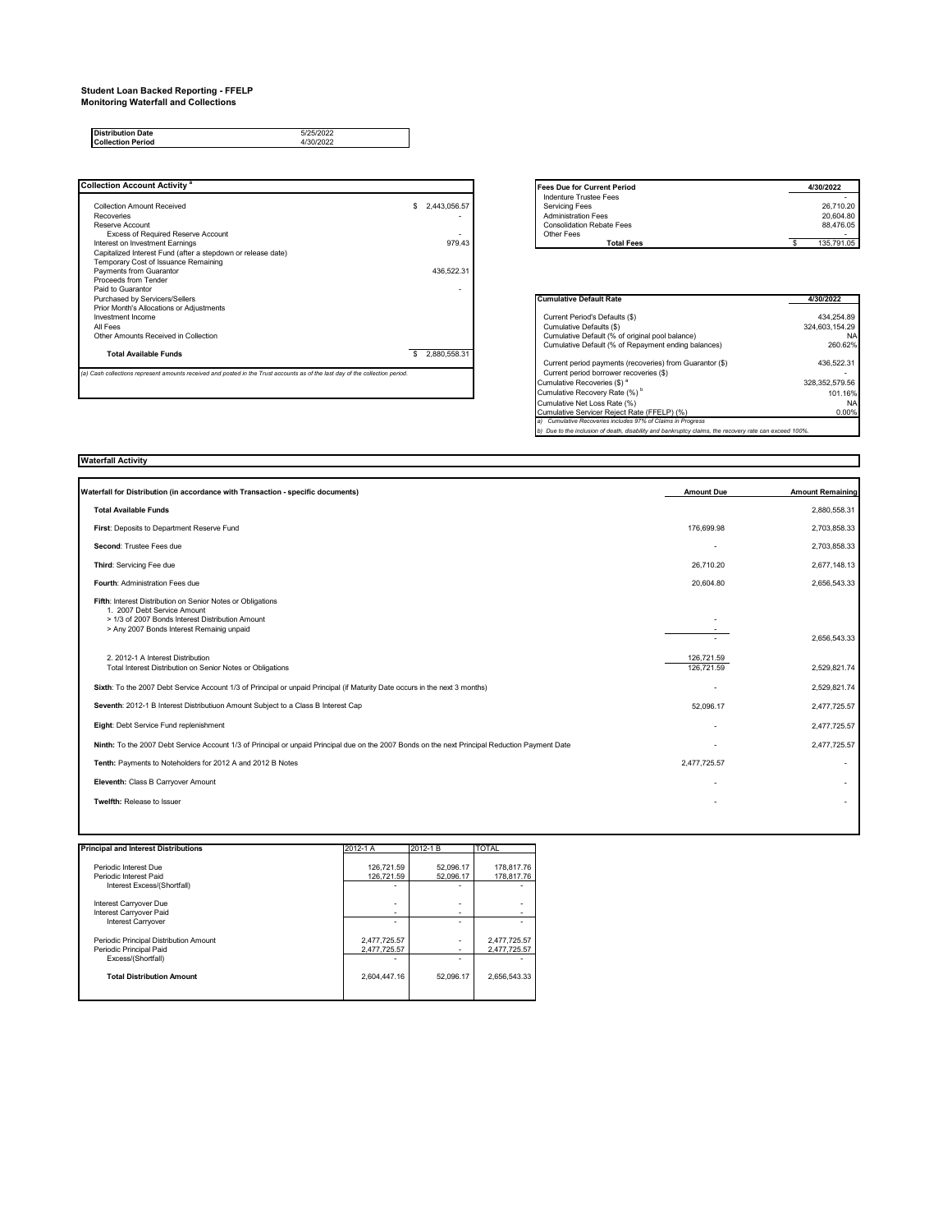# **Student Loan Backed Reporting - FFELP Monitoring Waterfall and Collections**

**Waterfall Activity**

**Collection Period** 4/30/2022 **Distribution Date** 5/25/2022

| Collection Account Activity <sup>a</sup>                                                                                      |                          | <b>Fees Due for Current Period</b>                       | 4/30/2022      |
|-------------------------------------------------------------------------------------------------------------------------------|--------------------------|----------------------------------------------------------|----------------|
|                                                                                                                               |                          | Indenture Trustee Fees                                   |                |
| Collection Amount Received                                                                                                    | 2,443,056.57<br>\$       | Servicing Fees                                           | 26.710.20      |
| Recoveries                                                                                                                    |                          | <b>Administration Fees</b>                               | 20.604.80      |
| Reserve Account                                                                                                               |                          | <b>Consolidation Rebate Fees</b>                         | 88.476.05      |
| Excess of Required Reserve Account                                                                                            | $\overline{\phantom{a}}$ | Other Fees                                               |                |
| Interest on Investment Earnings                                                                                               | 979.43                   | <b>Total Fees</b>                                        | 135.791.05     |
| Capitalized Interest Fund (after a stepdown or release date)<br>Temporary Cost of Issuance Remaining                          |                          |                                                          |                |
| Payments from Guarantor                                                                                                       | 436.522.31               |                                                          |                |
| Proceeds from Tender                                                                                                          |                          |                                                          |                |
| Paid to Guarantor                                                                                                             | $\overline{\phantom{a}}$ |                                                          |                |
| Purchased by Servicers/Sellers                                                                                                |                          | <b>Cumulative Default Rate</b>                           | 4/30/2022      |
| Prior Month's Allocations or Adjustments                                                                                      |                          |                                                          |                |
| Investment Income                                                                                                             |                          | Current Period's Defaults (\$)                           | 434.254.89     |
| All Fees                                                                                                                      |                          | Cumulative Defaults (\$)                                 | 324,603,154.29 |
| Other Amounts Received in Collection                                                                                          |                          | Cumulative Default (% of original pool balance)          | N              |
|                                                                                                                               |                          | Cumulative Default (% of Repayment ending balances)      | 260.62%        |
| <b>Total Available Funds</b>                                                                                                  | 2.880.558.31<br>\$.      |                                                          |                |
|                                                                                                                               |                          | Current period payments (recoveries) from Guarantor (\$) | 436.522.31     |
| (a) Cash collections represent amounts received and posted in the Trust accounts as of the last day of the collection period. |                          | Current period borrower recoveries (\$)                  |                |
|                                                                                                                               |                          | Cumulative Recoveries (\$) <sup>a</sup>                  | 328.352.579.56 |

| <b>Fees Due for Current Period</b> | 4/30/2022  |
|------------------------------------|------------|
| Indenture Trustee Fees             |            |
| <b>Servicing Fees</b>              | 26,710.20  |
| <b>Administration Fees</b>         | 20.604.80  |
| <b>Consolidation Rebate Fees</b>   | 88.476.05  |
| Other Fees                         |            |
| <b>Total Fees</b>                  | 135.791.05 |

| <b>Cumulative Default Rate</b>                                                                         | 4/30/2022      |
|--------------------------------------------------------------------------------------------------------|----------------|
|                                                                                                        |                |
| Current Period's Defaults (\$)                                                                         | 434.254.89     |
| Cumulative Defaults (\$)                                                                               | 324.603.154.29 |
| Cumulative Default (% of original pool balance)                                                        | <b>NA</b>      |
| Cumulative Default (% of Repayment ending balances)                                                    | 260.62%        |
| Current period payments (recoveries) from Guarantor (\$)                                               | 436.522.31     |
| Current period borrower recoveries (\$)                                                                |                |
| Cumulative Recoveries (\$) <sup>a</sup>                                                                | 328.352.579.56 |
| Cumulative Recovery Rate (%) <sup>b</sup>                                                              | 101.16%        |
| Cumulative Net Loss Rate (%)                                                                           | <b>NA</b>      |
| Cumulative Servicer Reiect Rate (FFELP) (%)                                                            | 0.00%          |
| a) Cumulative Recoveries includes 97% of Claims in Progress                                            |                |
| b) Due to the inclusion of death, disability and bankruptcy claims, the recovery rate can exceed 100%. |                |

| Waterfall for Distribution (in accordance with Transaction - specific documents)                                                                                                            | <b>Amount Due</b>        | <b>Amount Remaining</b>  |
|---------------------------------------------------------------------------------------------------------------------------------------------------------------------------------------------|--------------------------|--------------------------|
| <b>Total Available Funds</b>                                                                                                                                                                |                          | 2,880,558.31             |
| First: Deposits to Department Reserve Fund                                                                                                                                                  | 176.699.98               | 2,703,858.33             |
| Second: Trustee Fees due                                                                                                                                                                    |                          | 2,703,858.33             |
| Third: Servicing Fee due                                                                                                                                                                    | 26.710.20                | 2,677,148.13             |
| Fourth: Administration Fees due                                                                                                                                                             | 20,604.80                | 2,656,543.33             |
| Fifth: Interest Distribution on Senior Notes or Obligations<br>1. 2007 Debt Service Amount<br>> 1/3 of 2007 Bonds Interest Distribution Amount<br>> Any 2007 Bonds Interest Remainig unpaid |                          | 2,656,543.33             |
| 2. 2012-1 A Interest Distribution<br>Total Interest Distribution on Senior Notes or Obligations                                                                                             | 126,721.59<br>126,721.59 | 2,529,821.74             |
| Sixth: To the 2007 Debt Service Account 1/3 of Principal or unpaid Principal (if Maturity Date occurs in the next 3 months)                                                                 |                          | 2,529,821.74             |
| Seventh: 2012-1 B Interest Distributiuon Amount Subject to a Class B Interest Cap                                                                                                           | 52.096.17                | 2,477,725.57             |
| Eight: Debt Service Fund replenishment                                                                                                                                                      |                          | 2,477,725.57             |
| Ninth: To the 2007 Debt Service Account 1/3 of Principal or unpaid Principal due on the 2007 Bonds on the next Principal Reduction Payment Date                                             |                          | 2,477,725.57             |
| Tenth: Payments to Noteholders for 2012 A and 2012 B Notes                                                                                                                                  | 2,477,725.57             | $\overline{\phantom{a}}$ |
| Eleventh: Class B Carryover Amount                                                                                                                                                          |                          | $\overline{\phantom{a}}$ |
| Twelfth: Release to Issuer                                                                                                                                                                  |                          |                          |
|                                                                                                                                                                                             |                          |                          |

| <b>Principal and Interest Distributions</b> | 2012-1 A     | 2012-1 B  | <b>TOTAL</b> |
|---------------------------------------------|--------------|-----------|--------------|
|                                             |              |           |              |
| Periodic Interest Due                       | 126,721.59   | 52,096.17 | 178,817.76   |
| Periodic Interest Paid                      | 126.721.59   | 52.096.17 | 178,817.76   |
| Interest Excess/(Shortfall)                 |              |           |              |
| Interest Carryover Due                      | ٠            |           |              |
| Interest Carryover Paid                     | ٠            |           |              |
| <b>Interest Carrvover</b>                   | ٠            |           |              |
| Periodic Principal Distribution Amount      | 2,477,725.57 |           | 2,477,725.57 |
| Periodic Principal Paid                     | 2.477.725.57 |           | 2.477.725.57 |
| Excess/(Shortfall)                          |              |           |              |
| <b>Total Distribution Amount</b>            | 2.604.447.16 | 52.096.17 | 2.656.543.33 |
|                                             |              |           |              |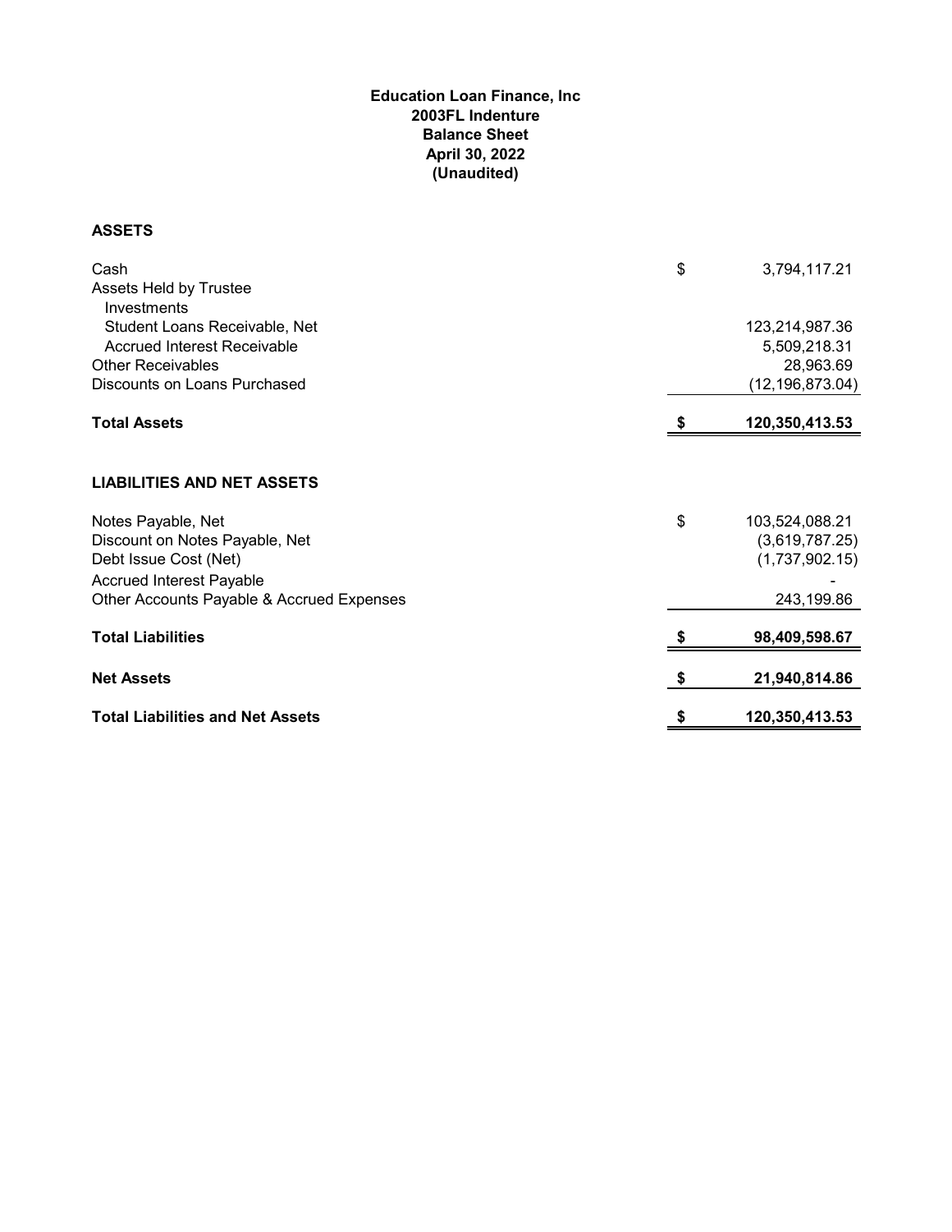### **Education Loan Finance, Inc 2003FL Indenture April 30, 2022 (Unaudited) Balance Sheet**

## **ASSETS**

| Cash                                      | \$<br>3,794,117.21   |
|-------------------------------------------|----------------------|
| Assets Held by Trustee                    |                      |
| Investments                               |                      |
| Student Loans Receivable, Net             | 123,214,987.36       |
| Accrued Interest Receivable               | 5,509,218.31         |
| <b>Other Receivables</b>                  | 28,963.69            |
| Discounts on Loans Purchased              | (12, 196, 873.04)    |
| <b>Total Assets</b>                       | 120,350,413.53       |
|                                           |                      |
| <b>LIABILITIES AND NET ASSETS</b>         |                      |
| Notes Payable, Net                        | \$<br>103,524,088.21 |
| Discount on Notes Payable, Net            | (3,619,787.25)       |
| Debt Issue Cost (Net)                     | (1,737,902.15)       |
| <b>Accrued Interest Payable</b>           |                      |
| Other Accounts Payable & Accrued Expenses | 243,199.86           |
| <b>Total Liabilities</b>                  | 98,409,598.67        |
| <b>Net Assets</b>                         |                      |
|                                           | \$<br>21,940,814.86  |
| <b>Total Liabilities and Net Assets</b>   | 120,350,413.53       |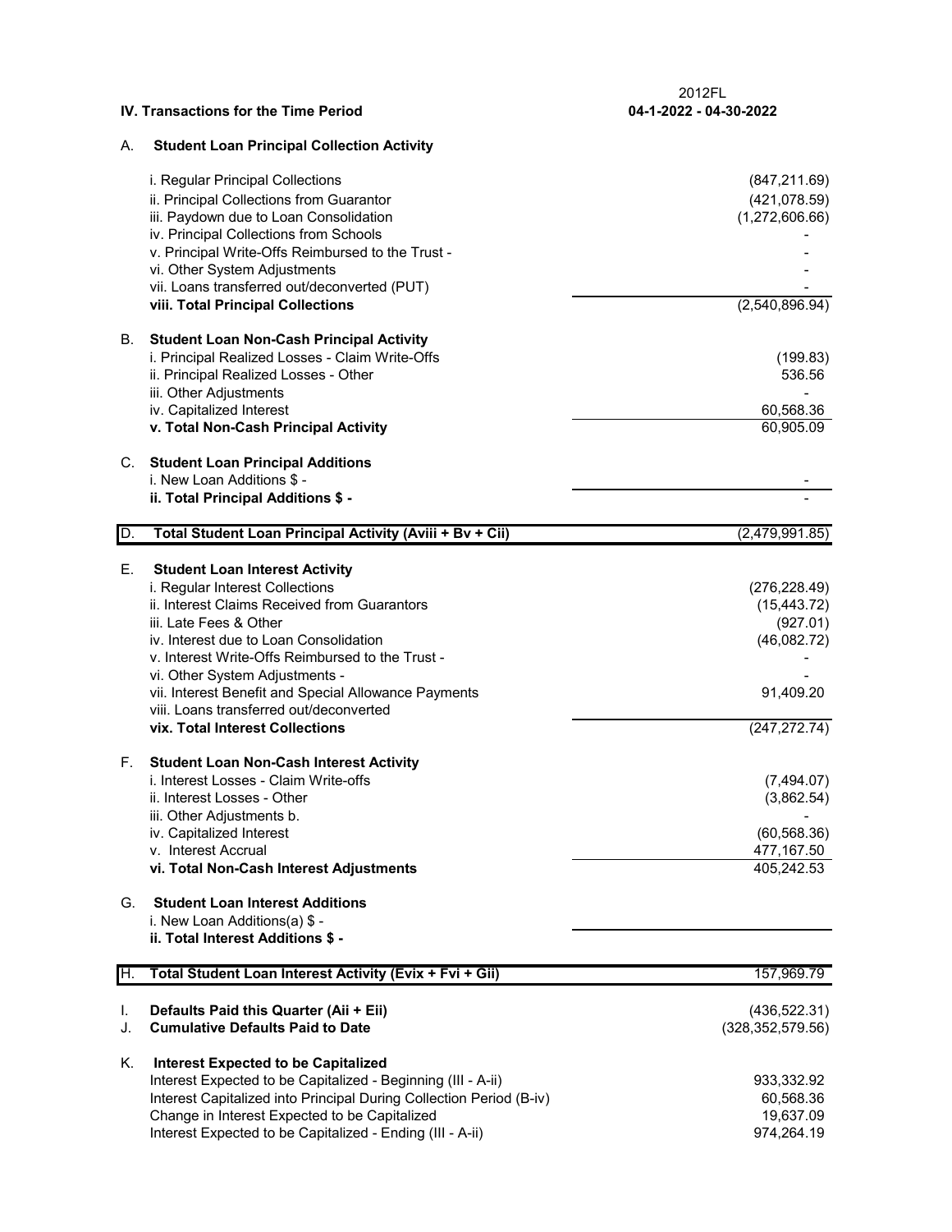|    |                                                                     | 2012FL                 |
|----|---------------------------------------------------------------------|------------------------|
|    | IV. Transactions for the Time Period                                | 04-1-2022 - 04-30-2022 |
|    |                                                                     |                        |
| А. | <b>Student Loan Principal Collection Activity</b>                   |                        |
|    |                                                                     |                        |
|    | i. Regular Principal Collections                                    | (847, 211.69)          |
|    | ii. Principal Collections from Guarantor                            | (421, 078.59)          |
|    | iii. Paydown due to Loan Consolidation                              | (1,272,606.66)         |
|    | iv. Principal Collections from Schools                              |                        |
|    | v. Principal Write-Offs Reimbursed to the Trust -                   |                        |
|    | vi. Other System Adjustments                                        |                        |
|    |                                                                     |                        |
|    | vii. Loans transferred out/deconverted (PUT)                        |                        |
|    | viii. Total Principal Collections                                   | (2,540,896.94)         |
|    |                                                                     |                        |
| В. | <b>Student Loan Non-Cash Principal Activity</b>                     |                        |
|    | i. Principal Realized Losses - Claim Write-Offs                     | (199.83)               |
|    | ii. Principal Realized Losses - Other                               | 536.56                 |
|    | iii. Other Adjustments                                              |                        |
|    |                                                                     |                        |
|    | iv. Capitalized Interest                                            | 60,568.36              |
|    | v. Total Non-Cash Principal Activity                                | 60,905.09              |
|    | C. Student Loan Principal Additions                                 |                        |
|    | i. New Loan Additions \$ -                                          |                        |
|    | ii. Total Principal Additions \$ -                                  |                        |
|    |                                                                     |                        |
| D. | Total Student Loan Principal Activity (Aviii + Bv + Cii)            | (2,479,991.85)         |
|    |                                                                     |                        |
| Е. | <b>Student Loan Interest Activity</b>                               |                        |
|    | i. Regular Interest Collections                                     | (276, 228.49)          |
|    | ii. Interest Claims Received from Guarantors                        | (15, 443.72)           |
|    |                                                                     |                        |
|    | iii. Late Fees & Other                                              | (927.01)               |
|    | iv. Interest due to Loan Consolidation                              | (46,082.72)            |
|    | v. Interest Write-Offs Reimbursed to the Trust -                    |                        |
|    | vi. Other System Adjustments -                                      |                        |
|    | vii. Interest Benefit and Special Allowance Payments                | 91,409.20              |
|    | viii. Loans transferred out/deconverted                             |                        |
|    |                                                                     |                        |
|    | vix. Total Interest Collections                                     | (247, 272.74)          |
| F. | <b>Student Loan Non-Cash Interest Activity</b>                      |                        |
|    | i. Interest Losses - Claim Write-offs                               | (7,494.07)             |
|    | ii. Interest Losses - Other                                         |                        |
|    |                                                                     | (3,862.54)             |
|    | iii. Other Adjustments b.                                           |                        |
|    | iv. Capitalized Interest                                            | (60, 568.36)           |
|    | v. Interest Accrual                                                 | 477,167.50             |
|    | vi. Total Non-Cash Interest Adjustments                             | 405,242.53             |
|    |                                                                     |                        |
| G. | <b>Student Loan Interest Additions</b>                              |                        |
|    | i. New Loan Additions(a) \$ -                                       |                        |
|    | ii. Total Interest Additions \$ -                                   |                        |
|    |                                                                     |                        |
| H. | Total Student Loan Interest Activity (Evix + Fvi + Gii)             | 157,969.79             |
|    | Defaults Paid this Quarter (Aii + Eii)                              | (436, 522.31)          |
| I. |                                                                     |                        |
| J. | <b>Cumulative Defaults Paid to Date</b>                             | (328, 352, 579.56)     |
| K. | <b>Interest Expected to be Capitalized</b>                          |                        |
|    | Interest Expected to be Capitalized - Beginning (III - A-ii)        | 933,332.92             |
|    |                                                                     |                        |
|    | Interest Capitalized into Principal During Collection Period (B-iv) | 60,568.36              |
|    | Change in Interest Expected to be Capitalized                       | 19,637.09              |
|    | Interest Expected to be Capitalized - Ending (III - A-ii)           | 974,264.19             |